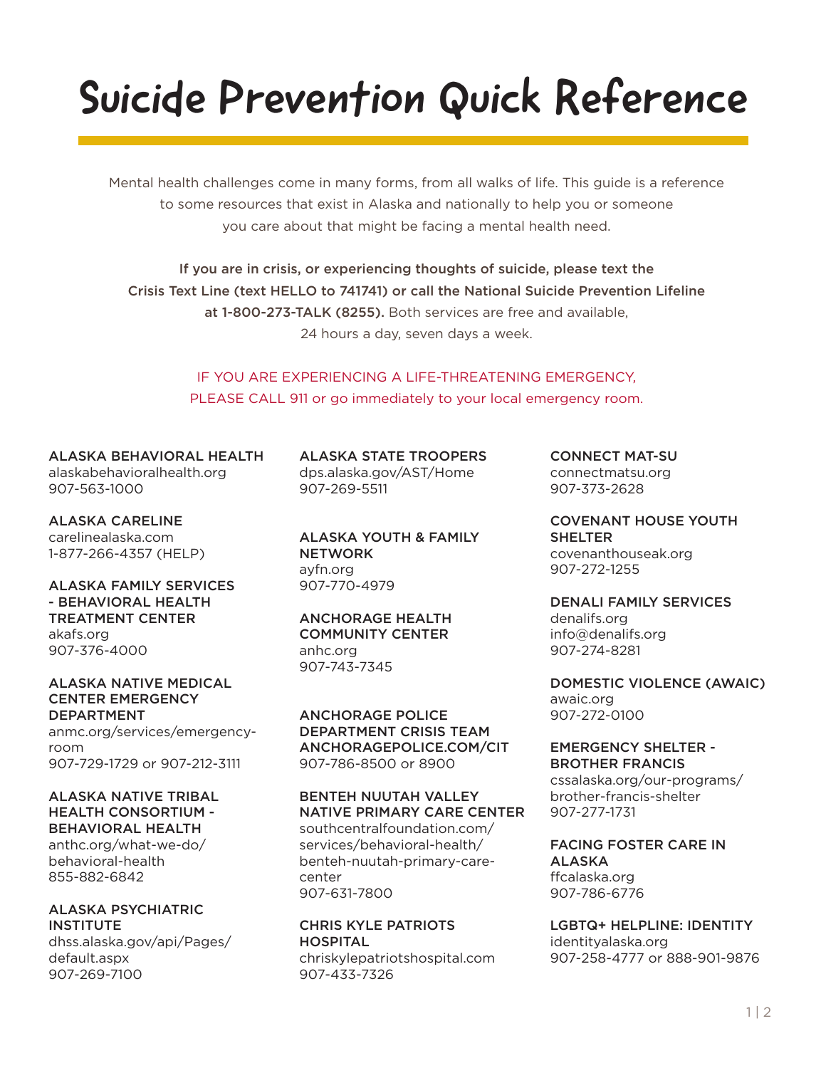# Suicide Prevention Quick Reference

Mental health challenges come in many forms, from all walks of life. This guide is a reference to some resources that exist in Alaska and nationally to help you or someone you care about that might be facing a mental health need.

If you are in crisis, or experiencing thoughts of suicide, please text the Crisis Text Line (text HELLO to 741741) or call the National Suicide Prevention Lifeline at 1-800-273-TALK (8255). Both services are free and available, 24 hours a day, seven days a week.

> IF YOU ARE EXPERIENCING A LIFE-THREATENING EMERGENCY, PLEASE CALL 911 or go immediately to your local emergency room.

ALASKA BEHAVIORAL HEALTH alaskabehavioralhealth.org 907-563-1000

ALASKA CARELINE carelinealaska.com 1-877-266-4357 (HELP)

ALASKA FAMILY SERVICES - BEHAVIORAL HEALTH TREATMENT CENTER akafs.org 907-376-4000

ALASKA NATIVE MEDICAL CENTER EMERGENCY DEPARTMENT anmc.org/services/emergencyroom

907-729-1729 or 907-212-3111

ALASKA NATIVE TRIBAL HEALTH CONSORTIUM - BEHAVIORAL HEALTH

anthc.org/what-we-do/ behavioral-health 855-882-6842

ALASKA PSYCHIATRIC **INSTITUTE** 

dhss.alaska.gov/api/Pages/ default.aspx 907-269-7100

ALASKA STATE TROOPERS dps.alaska.gov/AST/Home 907-269-5511

ALASKA YOUTH & FAMILY **NETWORK** ayfn.org 907-770-4979

ANCHORAGE HEALTH COMMUNITY CENTER anhc.org 907-743-7345

ANCHORAGE POLICE DEPARTMENT CRISIS TEAM ANCHORAGEPOLICE.COM/CIT 907-786-8500 or 8900

BENTEH NUUTAH VALLEY NATIVE PRIMARY CARE CENTER

southcentralfoundation.com/ services/behavioral-health/ benteh-nuutah-primary-carecenter 907-631-7800

CHRIS KYLE PATRIOTS HOSPITAL chriskylepatriotshospital.com 907-433-7326

CONNECT MAT-SU connectmatsu.org 907-373-2628

COVENANT HOUSE YOUTH **SHELTER** covenanthouseak.org 907-272-1255

DENALI FAMILY SERVICES denalifs.org info@denalifs.org 907-274-8281

DOMESTIC VIOLENCE (AWAIC) awaic.org 907-272-0100

EMERGENCY SHELTER - BROTHER FRANCIS cssalaska.org/our-programs/ brother-francis-shelter 907-277-1731

FACING FOSTER CARE IN ALASKA ffcalaska.org 907-786-6776

LGBTQ+ HELPLINE: IDENTITY identityalaska.org 907-258-4777 or 888-901-9876